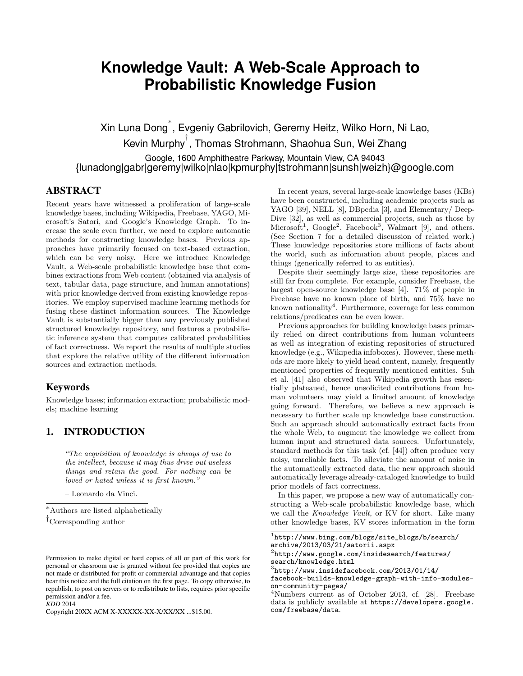# **Knowledge Vault: A Web-Scale Approach to Probabilistic Knowledge Fusion**

Xin Luna Dong ∗ , Evgeniy Gabrilovich, Geremy Heitz, Wilko Horn, Ni Lao, Kevin Murphy † , Thomas Strohmann, Shaohua Sun, Wei Zhang

Google, 1600 Amphitheatre Parkway, Mountain View, CA 94043 {lunadong|gabr|geremy|wilko|nlao|kpmurphy|tstrohmann|sunsh|weizh}@google.com

## ABSTRACT

Recent years have witnessed a proliferation of large-scale knowledge bases, including Wikipedia, Freebase, YAGO, Microsoft's Satori, and Google's Knowledge Graph. To increase the scale even further, we need to explore automatic methods for constructing knowledge bases. Previous approaches have primarily focused on text-based extraction, which can be very noisy. Here we introduce Knowledge Vault, a Web-scale probabilistic knowledge base that combines extractions from Web content (obtained via analysis of text, tabular data, page structure, and human annotations) with prior knowledge derived from existing knowledge repositories. We employ supervised machine learning methods for fusing these distinct information sources. The Knowledge Vault is substantially bigger than any previously published structured knowledge repository, and features a probabilistic inference system that computes calibrated probabilities of fact correctness. We report the results of multiple studies that explore the relative utility of the different information sources and extraction methods.

#### Keywords

Knowledge bases; information extraction; probabilistic models; machine learning

# 1. INTRODUCTION

"The acquisition of knowledge is always of use to the intellect, because it may thus drive out useless things and retain the good. For nothing can be loved or hated unless it is first known."

– Leonardo da Vinci.

*KDD* 2014

Copyright 20XX ACM X-XXXXX-XX-X/XX/XX ...\$15.00.

In recent years, several large-scale knowledge bases (KBs) have been constructed, including academic projects such as YAGO [39], NELL [8], DBpedia [3], and Elementary/ Deep-Dive [32], as well as commercial projects, such as those by Microsoft<sup>1</sup>, Google<sup>2</sup>, Facebook<sup>3</sup>, Walmart [9], and others. (See Section 7 for a detailed discussion of related work.) These knowledge repositories store millions of facts about the world, such as information about people, places and things (generically referred to as entities).

Despite their seemingly large size, these repositories are still far from complete. For example, consider Freebase, the largest open-source knowledge base [4]. 71% of people in Freebase have no known place of birth, and 75% have no known nationality<sup>4</sup>. Furthermore, coverage for less common relations/predicates can be even lower.

Previous approaches for building knowledge bases primarily relied on direct contributions from human volunteers as well as integration of existing repositories of structured knowledge (e.g., Wikipedia infoboxes). However, these methods are more likely to yield head content, namely, frequently mentioned properties of frequently mentioned entities. Suh et al. [41] also observed that Wikipedia growth has essentially plateaued, hence unsolicited contributions from human volunteers may yield a limited amount of knowledge going forward. Therefore, we believe a new approach is necessary to further scale up knowledge base construction. Such an approach should automatically extract facts from the whole Web, to augment the knowledge we collect from human input and structured data sources. Unfortunately, standard methods for this task (cf. [44]) often produce very noisy, unreliable facts. To alleviate the amount of noise in the automatically extracted data, the new approach should automatically leverage already-cataloged knowledge to build prior models of fact correctness.

In this paper, we propose a new way of automatically constructing a Web-scale probabilistic knowledge base, which we call the Knowledge Vault, or KV for short. Like many other knowledge bases, KV stores information in the form

<sup>∗</sup>Authors are listed alphabetically

<sup>†</sup>Corresponding author

Permission to make digital or hard copies of all or part of this work for personal or classroom use is granted without fee provided that copies are not made or distributed for profit or commercial advantage and that copies bear this notice and the full citation on the first page. To copy otherwise, to republish, to post on servers or to redistribute to lists, requires prior specific permission and/or a fee.

 $^1$ http://www.bing.com/blogs/site\_blogs/b/search/ archive/2013/03/21/satorii.aspx

<sup>2</sup> http://www.google.com/insidesearch/features/ search/knowledge.html

 $^3$ http://www.insidefacebook.com/2013/01/14/

facebook-builds-knowledge-graph-with-info-moduleson-community-pages/

<sup>4</sup>Numbers current as of October 2013, cf. [28]. Freebase data is publicly available at https://developers.google. com/freebase/data.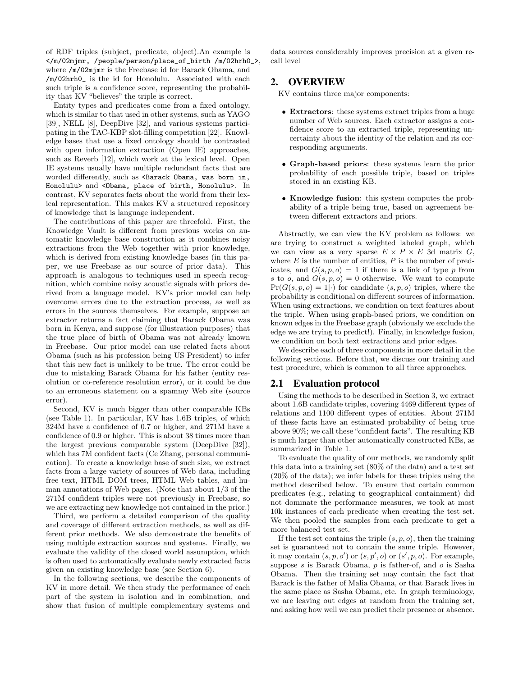of RDF triples (subject, predicate, object).An example is </m/02mjmr, /people/person/place\_of\_birth /m/02hrh0\_>, where /m/02mjmr is the Freebase id for Barack Obama, and /m/02hrh0\_ is the id for Honolulu. Associated with each such triple is a confidence score, representing the probability that KV "believes" the triple is correct.

Entity types and predicates come from a fixed ontology, which is similar to that used in other systems, such as YAGO [39], NELL [8], DeepDive [32], and various systems participating in the TAC-KBP slot-filling competition [22]. Knowledge bases that use a fixed ontology should be contrasted with open information extraction (Open IE) approaches, such as Reverb [12], which work at the lexical level. Open IE systems usually have multiple redundant facts that are worded differently, such as <Barack Obama, was born in, Honolulu> and <Obama, place of birth, Honolulu>. In contrast, KV separates facts about the world from their lexical representation. This makes KV a structured repository of knowledge that is language independent.

The contributions of this paper are threefold. First, the Knowledge Vault is different from previous works on automatic knowledge base construction as it combines noisy extractions from the Web together with prior knowledge, which is derived from existing knowledge bases (in this paper, we use Freebase as our source of prior data). This approach is analogous to techniques used in speech recognition, which combine noisy acoustic signals with priors derived from a language model. KV's prior model can help overcome errors due to the extraction process, as well as errors in the sources themselves. For example, suppose an extractor returns a fact claiming that Barack Obama was born in Kenya, and suppose (for illustration purposes) that the true place of birth of Obama was not already known in Freebase. Our prior model can use related facts about Obama (such as his profession being US President) to infer that this new fact is unlikely to be true. The error could be due to mistaking Barack Obama for his father (entity resolution or co-reference resolution error), or it could be due to an erroneous statement on a spammy Web site (source error).

Second, KV is much bigger than other comparable KBs (see Table 1). In particular, KV has 1.6B triples, of which 324M have a confidence of 0.7 or higher, and 271M have a confidence of 0.9 or higher. This is about 38 times more than the largest previous comparable system (DeepDive [32]), which has 7M confident facts (Ce Zhang, personal communication). To create a knowledge base of such size, we extract facts from a large variety of sources of Web data, including free text, HTML DOM trees, HTML Web tables, and human annotations of Web pages. (Note that about 1/3 of the 271M confident triples were not previously in Freebase, so we are extracting new knowledge not contained in the prior.)

Third, we perform a detailed comparison of the quality and coverage of different extraction methods, as well as different prior methods. We also demonstrate the benefits of using multiple extraction sources and systems. Finally, we evaluate the validity of the closed world assumption, which is often used to automatically evaluate newly extracted facts given an existing knowledge base (see Section 6).

In the following sections, we describe the components of KV in more detail. We then study the performance of each part of the system in isolation and in combination, and show that fusion of multiple complementary systems and data sources considerably improves precision at a given recall level

## 2. OVERVIEW

KV contains three major components:

- Extractors: these systems extract triples from a huge number of Web sources. Each extractor assigns a confidence score to an extracted triple, representing uncertainty about the identity of the relation and its corresponding arguments.
- Graph-based priors: these systems learn the prior probability of each possible triple, based on triples stored in an existing KB.
- Knowledge fusion: this system computes the probability of a triple being true, based on agreement between different extractors and priors.

Abstractly, we can view the KV problem as follows: we are trying to construct a weighted labeled graph, which we can view as a very sparse  $E \times P \times E$  3d matrix G, where  $E$  is the number of entities,  $P$  is the number of predicates, and  $G(s, p, o) = 1$  if there is a link of type p from s to o, and  $G(s, p, o) = 0$  otherwise. We want to compute  $Pr(G(s, p, o) = 1)$  for candidate  $(s, p, o)$  triples, where the probability is conditional on different sources of information. When using extractions, we condition on text features about the triple. When using graph-based priors, we condition on known edges in the Freebase graph (obviously we exclude the edge we are trying to predict!). Finally, in knowledge fusion, we condition on both text extractions and prior edges.

We describe each of three components in more detail in the following sections. Before that, we discuss our training and test procedure, which is common to all three approaches.

#### 2.1 Evaluation protocol

Using the methods to be described in Section 3, we extract about 1.6B candidate triples, covering 4469 different types of relations and 1100 different types of entities. About 271M of these facts have an estimated probability of being true above 90%; we call these "confident facts". The resulting KB is much larger than other automatically constructed KBs, as summarized in Table 1.

To evaluate the quality of our methods, we randomly split this data into a training set (80% of the data) and a test set (20% of the data); we infer labels for these triples using the method described below. To ensure that certain common predicates (e.g., relating to geographical containment) did not dominate the performance measures, we took at most 10k instances of each predicate when creating the test set. We then pooled the samples from each predicate to get a more balanced test set.

If the test set contains the triple  $(s, p, o)$ , then the training set is guaranteed not to contain the same triple. However, it may contain  $(s, p, o')$  or  $(s, p', o)$  or  $(s', p, o)$ . For example, suppose s is Barack Obama,  $p$  is father-of, and  $o$  is Sasha Obama. Then the training set may contain the fact that Barack is the father of Malia Obama, or that Barack lives in the same place as Sasha Obama, etc. In graph terminology, we are leaving out edges at random from the training set, and asking how well we can predict their presence or absence.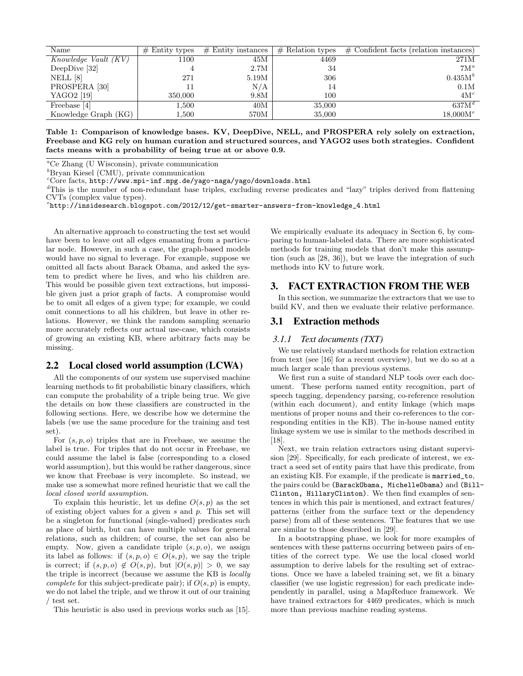| Name                     | $\#$ Entity types | $#$ Entity instances | $\#$ Relation types | $\#$ Confident facts (relation instances) |
|--------------------------|-------------------|----------------------|---------------------|-------------------------------------------|
| $Knowledge$ Vault $(KV)$ | 1100              | 45M                  | 4469                | 271M                                      |
| DeepDive $[32]$          |                   | 2.7M                 | 34                  | $7M^a$                                    |
| NELL [8]                 | 271               | 5.19M                | 306                 | $0.435M^{b}$                              |
| PROSPERA [30]            |                   | N/A                  | 14                  | 0.1M                                      |
| YAGO2 [19]               | 350,000           | 9.8M                 | 100                 | 4M <sup>c</sup>                           |
| Freebase [4]             | 1,500             | 40M                  | 35,000              | $637M^d$                                  |
| Knowledge Graph (KG)     | 1.500             | 570M                 | 35,000              | $18,000M^e$                               |
|                          |                   |                      |                     |                                           |

Table 1: Comparison of knowledge bases. KV, DeepDive, NELL, and PROSPERA rely solely on extraction, Freebase and KG rely on human curation and structured sources, and YAGO2 uses both strategies. Confident facts means with a probability of being true at or above 0.9.

<sup>a</sup>Ce Zhang (U Wisconsin), private communication

 ${}^{b}$ Bryan Kiesel (CMU), private communication

 $c^c$ Core facts, http://www.mpi-inf.mpg.de/yago-naga/yago/downloads.html

<sup>d</sup>This is the number of non-redundant base triples, excluding reverse predicates and "lazy" triples derived from flattening CVTs (complex value types).

 $e<sup>e</sup>$ http://insidesearch.blogspot.com/2012/12/get-smarter-answers-from-knowledge\_4.html

An alternative approach to constructing the test set would have been to leave out all edges emanating from a particular node. However, in such a case, the graph-based models would have no signal to leverage. For example, suppose we omitted all facts about Barack Obama, and asked the system to predict where he lives, and who his children are. This would be possible given text extractions, but impossible given just a prior graph of facts. A compromise would be to omit all edges of a given type; for example, we could omit connections to all his children, but leave in other relations. However, we think the random sampling scenario more accurately reflects our actual use-case, which consists of growing an existing KB, where arbitrary facts may be missing.

#### 2.2 Local closed world assumption (LCWA)

All the components of our system use supervised machine learning methods to fit probabilistic binary classifiers, which can compute the probability of a triple being true. We give the details on how these classifiers are constructed in the following sections. Here, we describe how we determine the labels (we use the same procedure for the training and test set).

For  $(s, p, o)$  triples that are in Freebase, we assume the label is true. For triples that do not occur in Freebase, we could assume the label is false (corresponding to a closed world assumption), but this would be rather dangerous, since we know that Freebase is very incomplete. So instead, we make use a somewhat more refined heuristic that we call the local closed world assumption.

To explain this heuristic, let us define  $O(s, p)$  as the set of existing object values for a given  $s$  and  $p$ . This set will be a singleton for functional (single-valued) predicates such as place of birth, but can have multiple values for general relations, such as children; of course, the set can also be empty. Now, given a candidate triple  $(s, p, o)$ , we assign its label as follows: if  $(s, p, o) \in O(s, p)$ , we say the triple is correct; if  $(s, p, o) \notin O(s, p)$ , but  $|O(s, p)| > 0$ , we say the triple is incorrect (because we assume the KB is locally complete for this subject-predicate pair); if  $O(s, p)$  is empty, we do not label the triple, and we throw it out of our training / test set.

This heuristic is also used in previous works such as [15].

We empirically evaluate its adequacy in Section 6, by comparing to human-labeled data. There are more sophisticated methods for training models that don't make this assumption (such as [28, 36]), but we leave the integration of such methods into KV to future work.

#### 3. FACT EXTRACTION FROM THE WEB

In this section, we summarize the extractors that we use to build KV, and then we evaluate their relative performance.

#### 3.1 Extraction methods

#### *3.1.1 Text documents (TXT)*

We use relatively standard methods for relation extraction from text (see [16] for a recent overview), but we do so at a much larger scale than previous systems.

We first run a suite of standard NLP tools over each document. These perform named entity recognition, part of speech tagging, dependency parsing, co-reference resolution (within each document), and entity linkage (which maps mentions of proper nouns and their co-references to the corresponding entities in the KB). The in-house named entity linkage system we use is similar to the methods described in [18].

Next, we train relation extractors using distant supervision [29]. Specifically, for each predicate of interest, we extract a seed set of entity pairs that have this predicate, from an existing KB. For example, if the predicate is married\_to, the pairs could be (BarackObama, MichelleObama) and (Bill-Clinton, HillaryClinton). We then find examples of sentences in which this pair is mentioned, and extract features/ patterns (either from the surface text or the dependency parse) from all of these sentences. The features that we use are similar to those described in [29].

In a bootstrapping phase, we look for more examples of sentences with these patterns occurring between pairs of entities of the correct type. We use the local closed world assumption to derive labels for the resulting set of extractions. Once we have a labeled training set, we fit a binary classifier (we use logistic regression) for each predicate independently in parallel, using a MapReduce framework. We have trained extractors for 4469 predicates, which is much more than previous machine reading systems.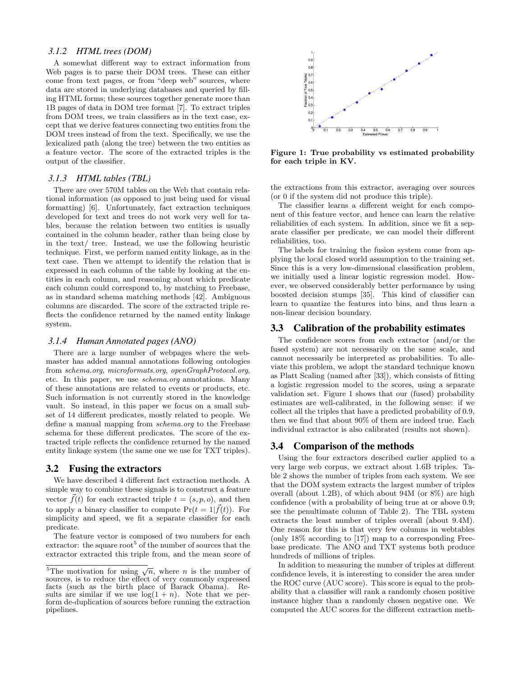#### *3.1.2 HTML trees (DOM)*

A somewhat different way to extract information from Web pages is to parse their DOM trees. These can either come from text pages, or from "deep web" sources, where data are stored in underlying databases and queried by filling HTML forms; these sources together generate more than 1B pages of data in DOM tree format [7]. To extract triples from DOM trees, we train classifiers as in the text case, except that we derive features connecting two entities from the DOM trees instead of from the text. Specifically, we use the lexicalized path (along the tree) between the two entities as a feature vector. The score of the extracted triples is the output of the classifier.

## *3.1.3 HTML tables (TBL)*

There are over 570M tables on the Web that contain relational information (as opposed to just being used for visual formatting) [6]. Unfortunately, fact extraction techniques developed for text and trees do not work very well for tables, because the relation between two entities is usually contained in the column header, rather than being close by in the text/ tree. Instead, we use the following heuristic technique. First, we perform named entity linkage, as in the text case. Then we attempt to identify the relation that is expressed in each column of the table by looking at the entities in each column, and reasoning about which predicate each column could correspond to, by matching to Freebase, as in standard schema matching methods [42]. Ambiguous columns are discarded. The score of the extracted triple reflects the confidence returned by the named entity linkage system.

#### *3.1.4 Human Annotated pages (ANO)*

There are a large number of webpages where the webmaster has added manual annotations following ontologies from schema.org, microformats.org, openGraphProtocol.org, etc. In this paper, we use schema.org annotations. Many of these annotations are related to events or products, etc. Such information is not currently stored in the knowledge vault. So instead, in this paper we focus on a small subset of 14 different predicates, mostly related to people. We define a manual mapping from schema.org to the Freebase schema for these different predicates. The score of the extracted triple reflects the confidence returned by the named entity linkage system (the same one we use for TXT triples).

#### 3.2 Fusing the extractors

We have described 4 different fact extraction methods. A simple way to combine these signals is to construct a feature vector  $\vec{f}(t)$  for each extracted triple  $t = (s, p, o)$ , and then to apply a binary classifier to compute  $Pr(t = 1 | \vec{f}(t))$ . For simplicity and speed, we fit a separate classifier for each predicate.

The feature vector is composed of two numbers for each extractor: the square  $root<sup>5</sup>$  of the number of sources that the extractor extracted this triple from, and the mean score of



Figure 1: True probability vs estimated probability for each triple in KV.

the extractions from this extractor, averaging over sources (or 0 if the system did not produce this triple).

The classifier learns a different weight for each component of this feature vector, and hence can learn the relative reliabilities of each system. In addition, since we fit a separate classifier per predicate, we can model their different reliabilities, too.

The labels for training the fusion system come from applying the local closed world assumption to the training set. Since this is a very low-dimensional classification problem, we initially used a linear logistic regression model. However, we observed considerably better performance by using boosted decision stumps [35]. This kind of classifier can learn to quantize the features into bins, and thus learn a non-linear decision boundary.

#### 3.3 Calibration of the probability estimates

The confidence scores from each extractor (and/or the fused system) are not necessarily on the same scale, and cannot necessarily be interpreted as probabilities. To alleviate this problem, we adopt the standard technique known as Platt Scaling (named after [33]), which consists of fitting a logistic regression model to the scores, using a separate validation set. Figure 1 shows that our (fused) probability estimates are well-calibrated, in the following sense: if we collect all the triples that have a predicted probability of 0.9, then we find that about 90% of them are indeed true. Each individual extractor is also calibrated (results not shown).

#### 3.4 Comparison of the methods

Using the four extractors described earlier applied to a very large web corpus, we extract about 1.6B triples. Table 2 shows the number of triples from each system. We see that the DOM system extracts the largest number of triples overall (about 1.2B), of which about 94M (or 8%) are high confidence (with a probability of being true at or above 0.9; see the penultimate column of Table 2). The TBL system extracts the least number of triples overall (about 9.4M). One reason for this is that very few columns in webtables (only 18% according to [17]) map to a corresponding Freebase predicate. The ANO and TXT systems both produce hundreds of millions of triples.

In addition to measuring the number of triples at different confidence levels, it is interesting to consider the area under the ROC curve (AUC score). This score is equal to the probability that a classifier will rank a randomly chosen positive instance higher than a randomly chosen negative one. We computed the AUC scores for the different extraction meth-

<sup>&</sup>lt;sup>5</sup>The motivation for using  $\sqrt{n}$ , where *n* is the number of sources, is to reduce the effect of very commonly expressed facts (such as the birth place of Barack Obama). Results are similar if we use  $log(1 + n)$ . Note that we perform de-duplication of sources before running the extraction pipelines.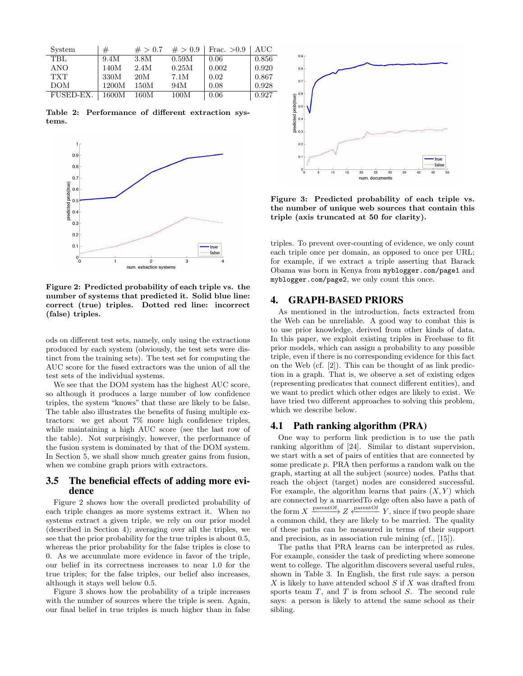| System     | #     | # > 0.7 | # > 0.9 | Frac. $>0.9$ | AUC   |
|------------|-------|---------|---------|--------------|-------|
| <b>TBL</b> | 9.4M  | 3.8M    | 0.59M   | 0.06         | 0.856 |
| ANO        | 140M  | 2.4M    | 0.25M   | 0.002        | 0.920 |
| <b>TXT</b> | 330M  | 20M     | 7.1M    | 0.02         | 0.867 |
| <b>DOM</b> | 1200M | 150M    | 94M     | 0.08         | 0.928 |
| FUSED-EX.  | 1600M | 160M    | 100M    | 0.06         | 0.927 |

Table 2: Performance of different extraction systems.



Figure 2: Predicted probability of each triple vs. the number of systems that predicted it. Solid blue line: correct (true) triples. Dotted red line: incorrect (false) triples.

ods on different test sets, namely, only using the extractions produced by each system (obviously, the test sets were distinct from the training sets). The test set for computing the AUC score for the fused extractors was the union of all the test sets of the individual systems.

We see that the DOM system has the highest AUC score, so although it produces a large number of low confidence triples, the system "knows" that these are likely to be false. The table also illustrates the benefits of fusing multiple extractors: we get about 7% more high confidence triples, while maintaining a high AUC score (see the last row of the table). Not surprisingly, however, the performance of the fusion system is dominated by that of the DOM system. In Section 5, we shall show much greater gains from fusion, when we combine graph priors with extractors.

#### 3.5 The beneficial effects of adding more evidence

Figure 2 shows how the overall predicted probability of each triple changes as more systems extract it. When no systems extract a given triple, we rely on our prior model (described in Section 4); averaging over all the triples, we see that the prior probability for the true triples is about 0.5, whereas the prior probability for the false triples is close to 0. As we accumulate more evidence in favor of the triple, our belief in its correctness increases to near 1.0 for the true triples; for the false triples, our belief also increases, although it stays well below 0.5.

Figure 3 shows how the probability of a triple increases with the number of sources where the triple is seen. Again, our final belief in true triples is much higher than in false



Figure 3: Predicted probability of each triple vs. the number of unique web sources that contain this triple (axis truncated at 50 for clarity).

triples. To prevent over-counting of evidence, we only count each triple once per domain, as opposed to once per URL; for example, if we extract a triple asserting that Barack Obama was born in Kenya from myblogger.com/page1 and myblogger.com/page2, we only count this once.

# 4. GRAPH-BASED PRIORS

As mentioned in the introduction, facts extracted from the Web can be unreliable. A good way to combat this is to use prior knowledge, derived from other kinds of data. In this paper, we exploit existing triples in Freebase to fit prior models, which can assign a probability to any possible triple, even if there is no corresponding evidence for this fact on the Web (cf. [2]). This can be thought of as link prediction in a graph. That is, we observe a set of existing edges (representing predicates that connect different entities), and we want to predict which other edges are likely to exist. We have tried two different approaches to solving this problem, which we describe below.

#### 4.1 Path ranking algorithm (PRA)

One way to perform link prediction is to use the path ranking algorithm of [24]. Similar to distant supervision, we start with a set of pairs of entities that are connected by some predicate p. PRA then performs a random walk on the graph, starting at all the subject (source) nodes. Paths that reach the object (target) nodes are considered successful. For example, the algorithm learns that pairs  $(X, Y)$  which are connected by a marriedTo edge often also have a path of the form  $X \xrightarrow{\text{parentOf}} Z \xleftarrow{\text{parentOf}} Y$ , since if two people share a common child, they are likely to be married. The quality of these paths can be measured in terms of their support and precision, as in association rule mining (cf., [15]).

The paths that PRA learns can be interpreted as rules. For example, consider the task of predicting where someone went to college. The algorithm discovers several useful rules, shown in Table 3. In English, the first rule says: a person  $X$  is likely to have attended school  $S$  if  $X$  was drafted from sports team  $T$ , and  $T$  is from school  $S$ . The second rule says: a person is likely to attend the same school as their sibling.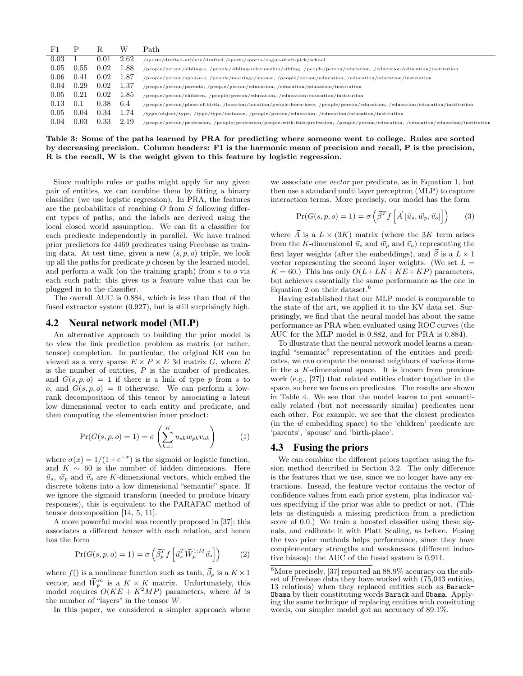| $_{\rm F1}$ |      |      |      | Path                                                                                                                                  |
|-------------|------|------|------|---------------------------------------------------------------------------------------------------------------------------------------|
| 0.03        |      | 0.01 | 2.62 | /sports/drafted-athlete/drafted,/sports/sports-league-draft-pick/school                                                               |
| 0.05        | 0.55 | 0.02 | 1.88 | /people/person/sibling-s, /people/sibling-relationship/sibling, /people/person/education, /education/education/institution            |
| 0.06        | 0.41 | 0.02 | 1.87 | /people/person/spouse-s, /people/marriage/spouse, /people/person/education, /education/education/institution                          |
| 0.04        | 0.29 | 0.02 | 1.37 | /people/person/parents, /people/person/education, /education/education/institution                                                    |
| 0.05        | 0.21 | 0.02 | 1.85 | /people/person/children,/people/person/education,/education/education/institution                                                     |
| 0.13        | 0.1  | 0.38 | -6.4 | /people/person/place-of-birth, /location/location/people-born-here, /people/person/education, /education/education/institution        |
| 0.05        | 0.04 | 0.34 | 1.74 | (type/object/type, /type/type/instance, /people/person/education, /education/education/institution/                                   |
| 0.04        | 0.03 | 0.33 | 2.19 | /people/person/profession, /people/profession/people-with-this-profession, /people/person/education, /education/education/institution |

Table 3: Some of the paths learned by PRA for predicting where someone went to college. Rules are sorted by decreasing precision. Column headers: F1 is the harmonic mean of precision and recall, P is the precision, R is the recall, W is the weight given to this feature by logistic regression.

Since multiple rules or paths might apply for any given pair of entities, we can combine them by fitting a binary classifier (we use logistic regression). In PRA, the features are the probabilities of reaching  $O$  from  $S$  following different types of paths, and the labels are derived using the local closed world assumption. We can fit a classifier for each predicate independently in parallel. We have trained prior predictors for 4469 predicates using Freebase as training data. At test time, given a new  $(s, p, o)$  triple, we look up all the paths for predicate  $p$  chosen by the learned model, and perform a walk (on the training graph) from s to o via each such path; this gives us a feature value that can be plugged in to the classifier.

The overall AUC is 0.884, which is less than that of the fused extractor system (0.927), but is still surprisingly high.

#### 4.2 Neural network model (MLP)

An alternative approach to building the prior model is to view the link prediction problem as matrix (or rather, tensor) completion. In particular, the original KB can be viewed as a very sparse  $E \times P \times E$  3d matrix G, where E is the number of entities,  $P$  is the number of predicates, and  $G(s, p, o) = 1$  if there is a link of type p from s to o, and  $G(s, p, o) = 0$  otherwise. We can perform a lowrank decomposition of this tensor by associating a latent low dimensional vector to each entity and predicate, and then computing the elementwise inner product:

$$
\Pr(G(s, p, o) = 1) = \sigma\left(\sum_{k=1}^{K} u_{sk} w_{pk} v_{ok}\right) \tag{1}
$$

where  $\sigma(x) = 1/(1+e^{-x})$  is the sigmoid or logistic function, and  $K \sim 60$  is the number of hidden dimensions. Here  $\vec{u}_s, \vec{w}_p$  and  $\vec{v}_o$  are K-dimensional vectors, which embed the discrete tokens into a low dimensional "semantic" space. If we ignore the sigmoid transform (needed to produce binary responses), this is equivalent to the PARAFAC method of tensor decomposition [14, 5, 11].

A more powerful model was recently proposed in [37]; this associates a different tensor with each relation, and hence has the form

$$
\Pr(G(s, p, o) = 1) = \sigma\left(\vec{\beta}_p^T f\left[\vec{u}_s^T \vec{W}_p^{1:M} \vec{v}_o\right]\right) \tag{2}
$$

where  $f()$  is a nonlinear function such as tanh,  $\vec{\beta}_p$  is a  $K \times 1$ vector, and  $\vec{W}_{p}^{m}$  is a  $K \times K$  matrix. Unfortunately, this model requires  $O(KE + K^2MP)$  parameters, where M is the number of "layers" in the tensor W.

In this paper, we considered a simpler approach where

we associate one vector per predicate, as in Equation 1, but then use a standard multi layer perceptron (MLP) to capture interaction terms. More precisely, our model has the form

$$
\Pr(G(s, p, o) = 1) = \sigma\left(\vec{\beta}^T f\left[\vec{A} \left[\vec{u}_s, \vec{w}_p, \vec{v}_o\right]\right]\right) \tag{3}
$$

where  $\overrightarrow{A}$  is a  $L \times (3K)$  matrix (where the 3K term arises from the K-dimensional  $\vec{u}_s$  and  $\vec{w}_p$  and  $\vec{v}_o$ ) representing the first layer weights (after the embeddings), and  $\vec{\beta}$  is a  $L \times 1$ vector representing the second layer weights. (We set  $L =$  $K = 60.$ ) This has only  $O(L+LK+KE+KP)$  parameters, but achieves essentially the same performance as the one in Equation 2 on their dataset.<sup>6</sup>

Having established that our MLP model is comparable to the state of the art, we applied it to the KV data set. Surprisingly, we find that the neural model has about the same performance as PRA when evaluated using ROC curves (the AUC for the MLP model is 0.882, and for PRA is 0.884).

To illustrate that the neural network model learns a meaningful "semantic" representation of the entities and predicates, we can compute the nearest neighbors of various items in the a K-dimensional space. It is known from previous work (e.g., [27]) that related entities cluster together in the space, so here we focus on predicates. The results are shown in Table 4. We see that the model learns to put semantically related (but not necessarily similar) predicates near each other. For example, we see that the closest predicates (in the  $\vec{w}$  embedding space) to the 'children' predicate are 'parents', 'spouse' and 'birth-place'.

#### 4.3 Fusing the priors

We can combine the different priors together using the fusion method described in Section 3.2. The only difference is the features that we use, since we no longer have any extractions. Insead, the feature vector contains the vector of confidence values from each prior system, plus indicator values specifying if the prior was able to predict or not. (This lets us distinguish a missing prediction from a prediction score of 0.0.) We train a boosted classifier using these signals, and calibrate it with Platt Scaling, as before. Fusing the two prior methods helps performance, since they have complementary strengths and weaknesses (different inductive biases): the AUC of the fused system is 0.911.

 $^6$  More precisely,  $\left[37\right]$  reported an  $88.9\%$  accuracy on the subset of Freebase data they have worked with (75,043 entities, 13 relations) when they replaced entities such as Barack-Obama by their constituting words Barack and Obama. Applying the same technique of replacing entities with consituting words, our simpler model got an accuracy of 89.1%.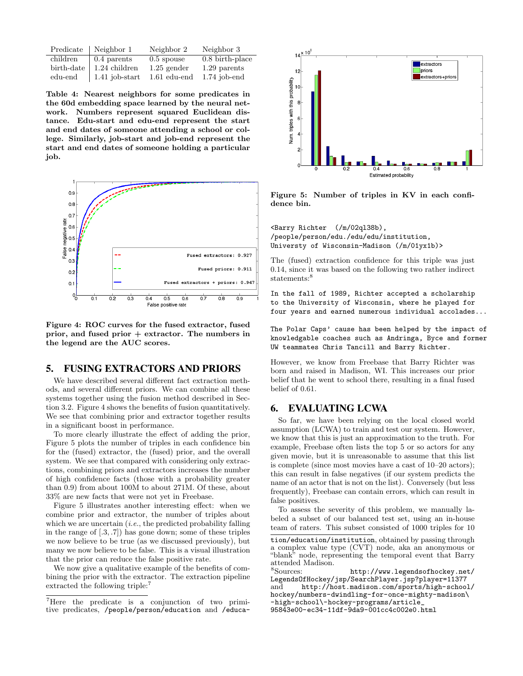| Predicate  | Neighbor 1       | Neighbor 2     | Neighbor 3        |
|------------|------------------|----------------|-------------------|
| children   | 0.4 parents      | $0.5$ spouse   | $0.8$ birth-place |
| birth-date | $1.24$ children  | $1.25$ gender  | 1.29 parents      |
| edu-end    | $1.41$ job-start | $1.61$ edu-end | $1.74$ job-end    |

Table 4: Nearest neighbors for some predicates in the 60d embedding space learned by the neural network. Numbers represent squared Euclidean distance. Edu-start and edu-end represent the start and end dates of someone attending a school or college. Similarly, job-start and job-end represent the start and end dates of someone holding a particular job.



Figure 4: ROC curves for the fused extractor, fused prior, and fused prior  $+$  extractor. The numbers in the legend are the AUC scores.

## 5. FUSING EXTRACTORS AND PRIORS

We have described several different fact extraction methods, and several different priors. We can combine all these systems together using the fusion method described in Section 3.2. Figure 4 shows the benefits of fusion quantitatively. We see that combining prior and extractor together results in a significant boost in performance.

To more clearly illustrate the effect of adding the prior, Figure 5 plots the number of triples in each confidence bin for the (fused) extractor, the (fused) prior, and the overall system. We see that compared with considering only extractions, combining priors and extractors increases the number of high confidence facts (those with a probability greater than 0.9) from about 100M to about 271M. Of these, about 33% are new facts that were not yet in Freebase.

Figure 5 illustrates another interesting effect: when we combine prior and extractor, the number of triples about which we are uncertain  $(i.e.,$  the predicted probability falling in the range of  $[0.3, 0.7]$  has gone down; some of these triples we now believe to be true (as we discussed previously), but many we now believe to be false. This is a visual illustration that the prior can reduce the false positive rate.

We now give a qualitative example of the benefits of combining the prior with the extractor. The extraction pipeline extracted the following triple:<sup>7</sup>



Figure 5: Number of triples in KV in each confidence bin.

<Barry Richter (/m/02ql38b), /people/person/edu./edu/edu/institution, Universty of Wisconsin-Madison (/m/01yx1b)>

The (fused) extraction confidence for this triple was just 0.14, since it was based on the following two rather indirect statements:<sup>8</sup>

In the fall of 1989, Richter accepted a scholarship to the University of Wisconsin, where he played for four years and earned numerous individual accolades...

The Polar Caps' cause has been helped by the impact of knowledgable coaches such as Andringa, Byce and former UW teammates Chris Tancill and Barry Richter.

However, we know from Freebase that Barry Richter was born and raised in Madison, WI. This increases our prior belief that he went to school there, resulting in a final fused belief of 0.61.

# 6. EVALUATING LCWA

So far, we have been relying on the local closed world assumption (LCWA) to train and test our system. However, we know that this is just an approximation to the truth. For example, Freebase often lists the top 5 or so actors for any given movie, but it is unreasonable to assume that this list is complete (since most movies have a cast of 10–20 actors); this can result in false negatives (if our system predicts the name of an actor that is not on the list). Conversely (but less frequently), Freebase can contain errors, which can result in false positives.

To assess the severity of this problem, we manually labeled a subset of our balanced test set, using an in-house team of raters. This subset consisted of 1000 triples for 10

<sup>7</sup>Here the predicate is a conjunction of two primitive predicates, /people/person/education and /educa-

tion/education/institution, obtained by passing through a complex value type (CVT) node, aka an anonymous or "blank" node, representing the temporal event that Barry attended Madison.<br><sup>8</sup>Sources:

http://www.legendsofhockey.net/ LegendsOfHockey/jsp/SearchPlayer.jsp?player=11377

and http://host.madison.com/sports/high-school/ hockey/numbers-dwindling-for-once-mighty-madison\

<sup>-</sup>high-school\-hockey-programs/article\_

<sup>95843</sup>e00-ec34-11df-9da9-001cc4c002e0.html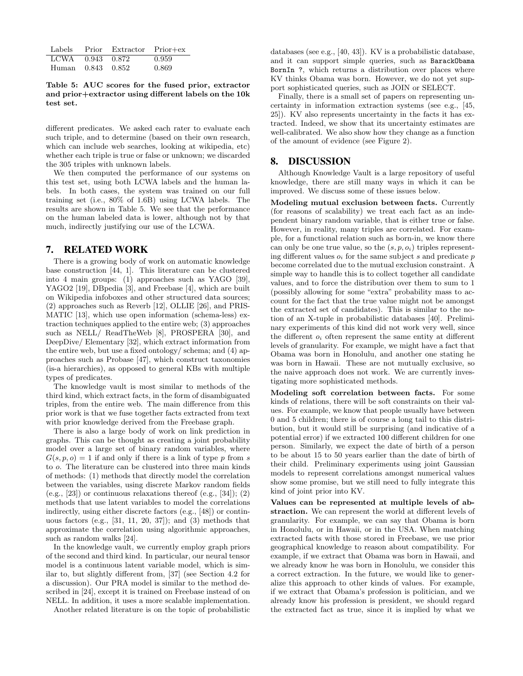|                   | Labels Prior Extractor Prior+ex |       |
|-------------------|---------------------------------|-------|
| LCWA 0.943 0.872  |                                 | 0.959 |
| Human 0.843 0.852 |                                 | 0.869 |

Table 5: AUC scores for the fused prior, extractor and prior+extractor using different labels on the 10k test set.

different predicates. We asked each rater to evaluate each such triple, and to determine (based on their own research, which can include web searches, looking at wikipedia, etc) whether each triple is true or false or unknown; we discarded the 305 triples with unknown labels.

We then computed the performance of our systems on this test set, using both LCWA labels and the human labels. In both cases, the system was trained on our full training set (i.e., 80% of 1.6B) using LCWA labels. The results are shown in Table 5. We see that the performance on the human labeled data is lower, although not by that much, indirectly justifying our use of the LCWA.

#### 7. RELATED WORK

There is a growing body of work on automatic knowledge base construction [44, 1]. This literature can be clustered into 4 main groups: (1) approaches such as YAGO [39], YAGO2 [19], DBpedia [3], and Freebase [4], which are built on Wikipedia infoboxes and other structured data sources; (2) approaches such as Reverb [12], OLLIE [26], and PRIS-MATIC [13], which use open information (schema-less) extraction techniques applied to the entire web; (3) approaches such as NELL/ ReadTheWeb [8], PROSPERA [30], and DeepDive/ Elementary [32], which extract information from the entire web, but use a fixed ontology/ schema; and (4) approaches such as Probase [47], which construct taxonomies (is-a hierarchies), as opposed to general KBs with multiple types of predicates.

The knowledge vault is most similar to methods of the third kind, which extract facts, in the form of disambiguated triples, from the entire web. The main difference from this prior work is that we fuse together facts extracted from text with prior knowledge derived from the Freebase graph.

There is also a large body of work on link prediction in graphs. This can be thought as creating a joint probability model over a large set of binary random variables, where  $G(s, p, o) = 1$  if and only if there is a link of type p from s to o. The literature can be clustered into three main kinds of methods: (1) methods that directly model the correlation between the variables, using discrete Markov random fields  $(e.g., [23])$  or continuous relaxations thereof  $(e.g., [34])$ ;  $(2)$ methods that use latent variables to model the correlations indirectly, using either discrete factors (e.g., [48]) or continuous factors (e.g., [31, 11, 20, 37]); and (3) methods that approximate the correlation using algorithmic approaches, such as random walks [24].

In the knowledge vault, we currently employ graph priors of the second and third kind. In particular, our neural tensor model is a continuous latent variable model, which is similar to, but slightly different from, [37] (see Section 4.2 for a discussion). Our PRA model is similar to the method described in [24], except it is trained on Freebase instead of on NELL. In addition, it uses a more scalable implementation.

Another related literature is on the topic of probabilistic

databases (see e.g., [40, 43]). KV is a probabilistic database, and it can support simple queries, such as BarackObama BornIn ?, which returns a distribution over places where KV thinks Obama was born. However, we do not yet support sophisticated queries, such as JOIN or SELECT.

Finally, there is a small set of papers on representing uncertainty in information extraction systems (see e.g., [45, 25]). KV also represents uncertainty in the facts it has extracted. Indeed, we show that its uncertainty estimates are well-calibrated. We also show how they change as a function of the amount of evidence (see Figure 2).

### 8. DISCUSSION

Although Knowledge Vault is a large repository of useful knowledge, there are still many ways in which it can be improved. We discuss some of these issues below.

Modeling mutual exclusion between facts. Currently (for reasons of scalability) we treat each fact as an independent binary random variable, that is either true or false. However, in reality, many triples are correlated. For example, for a functional relation such as born-in, we know there can only be one true value, so the  $(s, p, o_i)$  triples representing different values  $o_i$  for the same subject s and predicate p become correlated due to the mutual exclusion constraint. A simple way to handle this is to collect together all candidate values, and to force the distribution over them to sum to 1 (possibly allowing for some "extra" probability mass to account for the fact that the true value might not be amongst the extracted set of candidates). This is similar to the notion of an X-tuple in probabilistic databases [40]. Preliminary experiments of this kind did not work very well, since the different  $o_i$  often represent the same entity at different levels of granularity. For example, we might have a fact that Obama was born in Honolulu, and another one stating he was born in Hawaii. These are not mutually exclusive, so the naive approach does not work. We are currently investigating more sophisticated methods.

Modeling soft correlation between facts. For some kinds of relations, there will be soft constraints on their values. For example, we know that people usually have between 0 and 5 children; there is of course a long tail to this distribution, but it would still be surprising (and indicative of a potential error) if we extracted 100 different children for one person. Similarly, we expect the date of birth of a person to be about 15 to 50 years earlier than the date of birth of their child. Preliminary experiments using joint Gaussian models to represent correlations amongst numerical values show some promise, but we still need to fully integrate this kind of joint prior into KV.

Values can be represented at multiple levels of abstraction. We can represent the world at different levels of granularity. For example, we can say that Obama is born in Honolulu, or in Hawaii, or in the USA. When matching extracted facts with those stored in Freebase, we use prior geographical knowledge to reason about compatibility. For example, if we extract that Obama was born in Hawaii, and we already know he was born in Honolulu, we consider this a correct extraction. In the future, we would like to generalize this approach to other kinds of values. For example, if we extract that Obama's profession is politician, and we already know his profession is president, we should regard the extracted fact as true, since it is implied by what we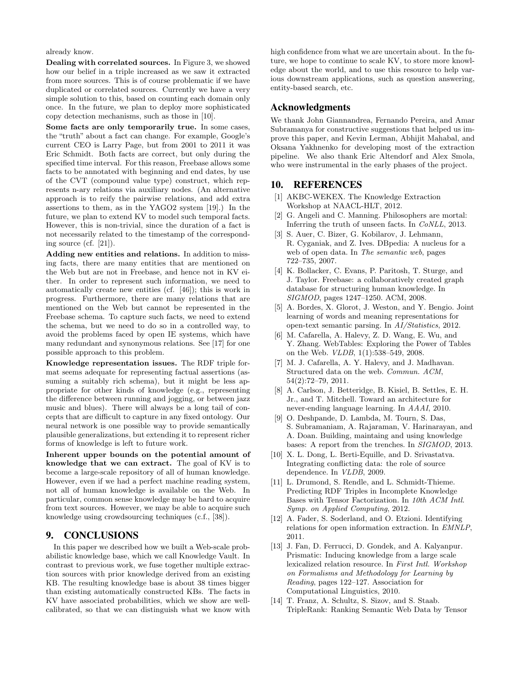already know.

Dealing with correlated sources. In Figure 3, we showed how our belief in a triple increased as we saw it extracted from more sources. This is of course problematic if we have duplicated or correlated sources. Currently we have a very simple solution to this, based on counting each domain only once. In the future, we plan to deploy more sophisticated copy detection mechanisms, such as those in [10].

Some facts are only temporarily true. In some cases, the "truth" about a fact can change. For example, Google's current CEO is Larry Page, but from 2001 to 2011 it was Eric Schmidt. Both facts are correct, but only during the specified time interval. For this reason, Freebase allows some facts to be annotated with beginning and end dates, by use of the CVT (compound value type) construct, which represents n-ary relations via auxiliary nodes. (An alternative approach is to reify the pairwise relations, and add extra assertions to them, as in the YAGO2 system [19].) In the future, we plan to extend KV to model such temporal facts. However, this is non-trivial, since the duration of a fact is not necessarily related to the timestamp of the corresponding source (cf. [21]).

Adding new entities and relations. In addition to missing facts, there are many entities that are mentioned on the Web but are not in Freebase, and hence not in KV either. In order to represent such information, we need to automatically create new entities (cf. [46]); this is work in progress. Furthermore, there are many relations that are mentioned on the Web but cannot be represented in the Freebase schema. To capture such facts, we need to extend the schema, but we need to do so in a controlled way, to avoid the problems faced by open IE systems, which have many redundant and synonymous relations. See [17] for one possible approach to this problem.

Knowledge representation issues. The RDF triple format seems adequate for representing factual assertions (assuming a suitably rich schema), but it might be less appropriate for other kinds of knowledge (e.g., representing the difference between running and jogging, or between jazz music and blues). There will always be a long tail of concepts that are difficult to capture in any fixed ontology. Our neural network is one possible way to provide semantically plausible generalizations, but extending it to represent richer forms of knowledge is left to future work.

Inherent upper bounds on the potential amount of knowledge that we can extract. The goal of KV is to become a large-scale repository of all of human knowledge. However, even if we had a perfect machine reading system, not all of human knowledge is available on the Web. In particular, common sense knowledge may be hard to acquire from text sources. However, we may be able to acquire such knowledge using crowdsourcing techniques (c.f., [38]).

## 9. CONCLUSIONS

In this paper we described how we built a Web-scale probabilistic knowledge base, which we call Knowledge Vault. In contrast to previous work, we fuse together multiple extraction sources with prior knowledge derived from an existing KB. The resulting knowledge base is about 38 times bigger than existing automatically constructed KBs. The facts in KV have associated probabilities, which we show are wellcalibrated, so that we can distinguish what we know with high confidence from what we are uncertain about. In the future, we hope to continue to scale KV, to store more knowledge about the world, and to use this resource to help various downstream applications, such as question answering, entity-based search, etc.

## Acknowledgments

We thank John Giannandrea, Fernando Pereira, and Amar Subramanya for constructive suggestions that helped us improve this paper, and Kevin Lerman, Abhijit Mahabal, and Oksana Yakhnenko for developing most of the extraction pipeline. We also thank Eric Altendorf and Alex Smola, who were instrumental in the early phases of the project.

## 10. REFERENCES

- [1] AKBC-WEKEX. The Knowledge Extraction Workshop at NAACL-HLT, 2012.
- [2] G. Angeli and C. Manning. Philosophers are mortal: Inferring the truth of unseen facts. In CoNLL, 2013.
- [3] S. Auer, C. Bizer, G. Kobilarov, J. Lehmann, R. Cyganiak, and Z. Ives. DBpedia: A nucleus for a web of open data. In The semantic web, pages 722–735, 2007.
- [4] K. Bollacker, C. Evans, P. Paritosh, T. Sturge, and J. Taylor. Freebase: a collaboratively created graph database for structuring human knowledge. In SIGMOD, pages 1247–1250. ACM, 2008.
- [5] A. Bordes, X. Glorot, J. Weston, and Y. Bengio. Joint learning of words and meaning representations for open-text semantic parsing. In AI/Statistics, 2012.
- [6] M. Cafarella, A. Halevy, Z. D. Wang, E. Wu, and Y. Zhang. WebTables: Exploring the Power of Tables on the Web. VLDB, 1(1):538–549, 2008.
- [7] M. J. Cafarella, A. Y. Halevy, and J. Madhavan. Structured data on the web. Commun. ACM, 54(2):72–79, 2011.
- [8] A. Carlson, J. Betteridge, B. Kisiel, B. Settles, E. H. Jr., and T. Mitchell. Toward an architecture for never-ending language learning. In AAAI, 2010.
- [9] O. Deshpande, D. Lambda, M. Tourn, S. Das, S. Subramaniam, A. Rajaraman, V. Harinarayan, and A. Doan. Building, maintaing and using knowledge bases: A report from the trenches. In SIGMOD, 2013.
- [10] X. L. Dong, L. Berti-Equille, and D. Srivastatva. Integrating conflicting data: the role of source dependence. In VLDB, 2009.
- [11] L. Drumond, S. Rendle, and L. Schmidt-Thieme. Predicting RDF Triples in Incomplete Knowledge Bases with Tensor Factorization. In 10th ACM Intl. Symp. on Applied Computing, 2012.
- [12] A. Fader, S. Soderland, and O. Etzioni. Identifying relations for open information extraction. In EMNLP, 2011.
- [13] J. Fan, D. Ferrucci, D. Gondek, and A. Kalyanpur. Prismatic: Inducing knowledge from a large scale lexicalized relation resource. In First Intl. Workshop on Formalisms and Methodology for Learning by Reading, pages 122–127. Association for Computational Linguistics, 2010.
- [14] T. Franz, A. Schultz, S. Sizov, and S. Staab. TripleRank: Ranking Semantic Web Data by Tensor